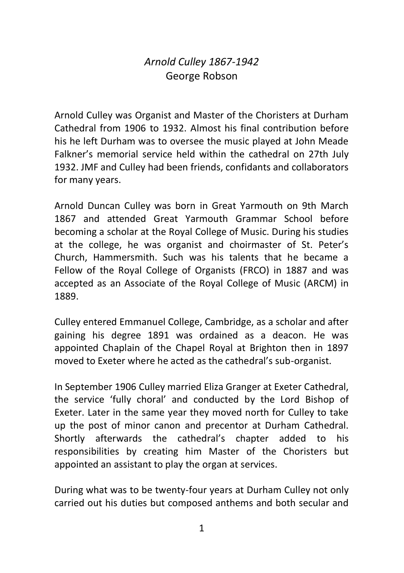## *Arnold Culley 1867-1942* George Robson

Arnold Culley was Organist and Master of the Choristers at Durham Cathedral from 1906 to 1932. Almost his final contribution before his he left Durham was to oversee the music played at John Meade Falkner's memorial service held within the cathedral on 27th July 1932. JMF and Culley had been friends, confidants and collaborators for many years.

Arnold Duncan Culley was born in Great Yarmouth on 9th March 1867 and attended Great Yarmouth Grammar School before becoming a scholar at the Royal College of Music. During his studies at the college, he was organist and choirmaster of St. Peter's Church, Hammersmith. Such was his talents that he became a Fellow of the Royal College of Organists (FRCO) in 1887 and was accepted as an Associate of the Royal College of Music (ARCM) in 1889.

Culley entered Emmanuel College, Cambridge, as a scholar and after gaining his degree 1891 was ordained as a deacon. He was appointed Chaplain of the Chapel Royal at Brighton then in 1897 moved to Exeter where he acted as the cathedral's sub-organist.

In September 1906 Culley married Eliza Granger at Exeter Cathedral, the service 'fully choral' and conducted by the Lord Bishop of Exeter. Later in the same year they moved north for Culley to take up the post of minor canon and precentor at Durham Cathedral. Shortly afterwards the cathedral's chapter added to his responsibilities by creating him Master of the Choristers but appointed an assistant to play the organ at services.

During what was to be twenty-four years at Durham Culley not only carried out his duties but composed anthems and both secular and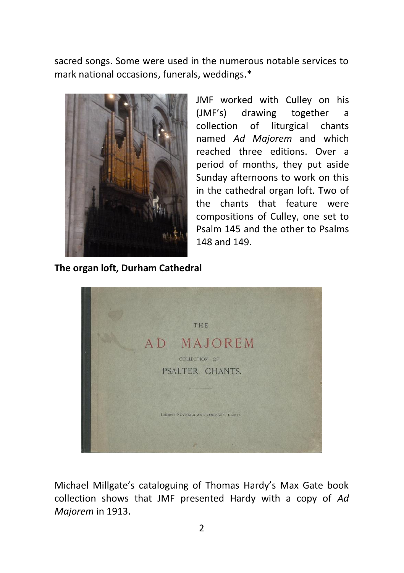sacred songs. Some were used in the numerous notable services to mark national occasions, funerals, weddings.\*



JMF worked with Culley on his (JMF's) drawing together a collection of liturgical chants named *Ad Majorem* and which reached three editions. Over a period of months, they put aside Sunday afternoons to work on this in the cathedral organ loft. Two of the chants that feature were compositions of Culley, one set to Psalm 145 and the other to Psalms 148 and 149.

**The organ loft, Durham Cathedral**



Michael Millgate's cataloguing of Thomas Hardy's Max Gate book collection shows that JMF presented Hardy with a copy of *Ad Majorem* in 1913.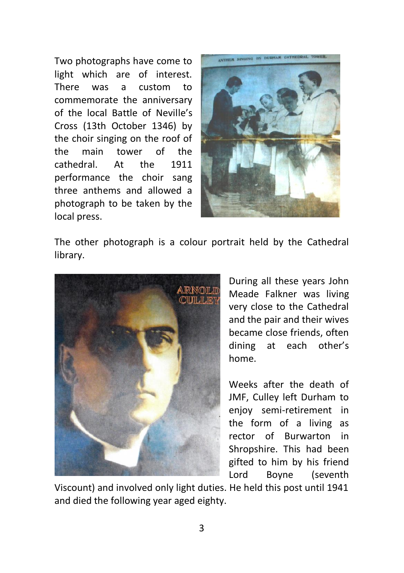Two photographs have come to light which are of interest. There was a custom to commemorate the anniversary of the local Battle of Neville's Cross (13th October 1346) by the choir singing on the roof of the main tower of the cathedral. At the 1911 performance the choir sang three anthems and allowed a photograph to be taken by the local press.



The other photograph is a colour portrait held by the Cathedral library.



During all these years John Meade Falkner was living very close to the Cathedral and the pair and their wives became close friends, often dining at each other's home.

Weeks after the death of JMF, Culley left Durham to enjoy semi-retirement in the form of a living as rector of Burwarton in Shropshire. This had been gifted to him by his friend Lord Boyne (seventh

Viscount) and involved only light duties. He held this post until 1941 and died the following year aged eighty.